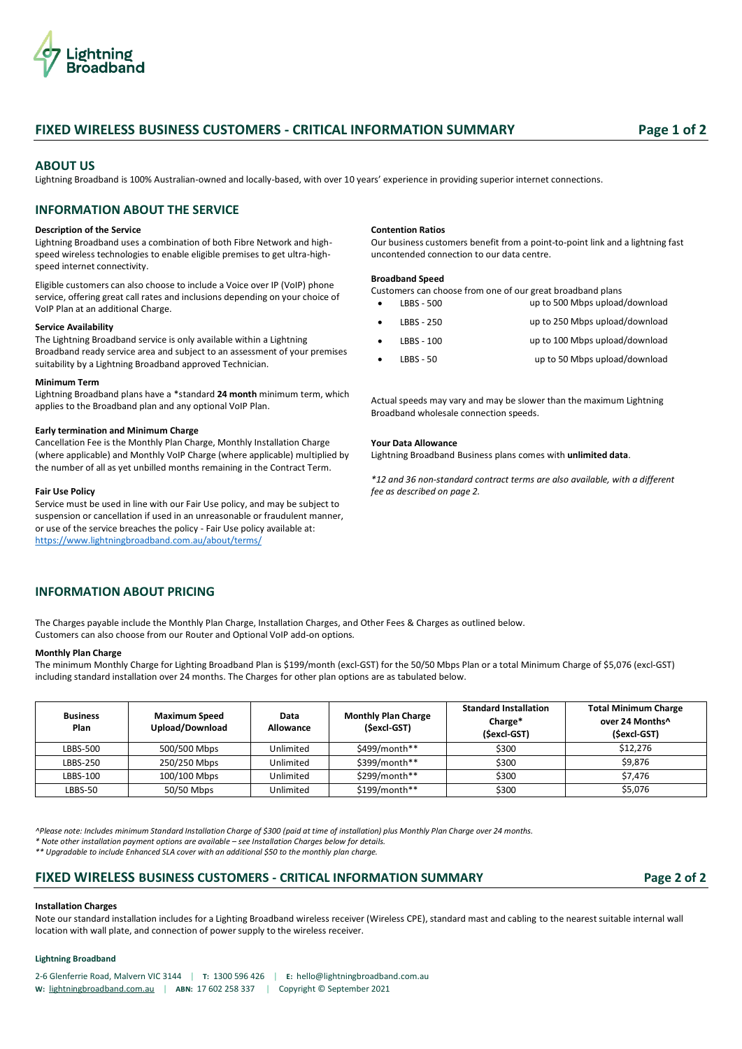

# **FIXED WIRELESS BUSINESS CUSTOMERS - CRITICAL INFORMATION SUMMARY Page 1 of 2**

# **ABOUT US**

Lightning Broadband is 100% Australian-owned and locally-based, with over 10 years' experience in providing superior internet connections.

# **INFORMATION ABOUT THE SERVICE**

# **Description of the Service**

Lightning Broadband uses a combination of both Fibre Network and highspeed wireless technologies to enable eligible premises to get ultra-highspeed internet connectivity.

Eligible customers can also choose to include a Voice over IP (VoIP) phone service, offering great call rates and inclusions depending on your choice of VoIP Plan at an additional Charge.

## **Service Availability**

The Lightning Broadband service is only available within a Lightning Broadband ready service area and subject to an assessment of your premises suitability by a Lightning Broadband approved Technician.

### **Minimum Term**

Lightning Broadband plans have a \*standard **24 month** minimum term, which applies to the Broadband plan and any optional VoIP Plan.

## **Early termination and Minimum Charge**

Cancellation Fee is the Monthly Plan Charge, Monthly Installation Charge (where applicable) and Monthly VoIP Charge (where applicable) multiplied by the number of all as yet unbilled months remaining in the Contract Term.

### **Fair Use Policy**

Service must be used in line with our Fair Use policy, and may be subject to suspension or cancellation if used in an unreasonable or fraudulent manner, or use of the service breaches the policy - Fair Use policy available at: <https://www.lightningbroadband.com.au/about/terms/>

### **Contention Ratios**

Our business customers benefit from a point-to-point link and a lightning fast uncontended connection to our data centre.

# **Broadband Speed**

Customers can choose from one of our great broadband plans

| up to 500 Mbps upload/download | LBBS - 500  | $\bullet$ |
|--------------------------------|-------------|-----------|
| up to 250 Mbps upload/download | LBBS - 250  | $\bullet$ |
| up to 100 Mbps upload/download | LBBS - 100  |           |
| up to 50 Mbps upload/download  | $LBBS - 50$ |           |

Actual speeds may vary and may be slower than the maximum Lightning Broadband wholesale connection speeds.

## **Your Data Allowance**

Lightning Broadband Business plans comes with **unlimited data**.

*\*12 and 36 non-standard contract terms are also available, with a different fee as described on page 2.*

# **INFORMATION ABOUT PRICING**

The Charges payable include the Monthly Plan Charge, Installation Charges, and Other Fees & Charges as outlined below. Customers can also choose from our Router and Optional VoIP add-on options.

### **Monthly Plan Charge**

The minimum Monthly Charge for Lighting Broadband Plan is \$199/month (excl-GST) for the 50/50 Mbps Plan or a total Minimum Charge of \$5,076 (excl-GST) including standard installation over 24 months. The Charges for other plan options are as tabulated below.

| <b>Business</b><br>Plan | <b>Maximum Speed</b><br>Upload/Download | Data<br>Allowance | <b>Monthly Plan Charge</b><br>(Sexcl-GST) | <b>Standard Installation</b><br>Charge*<br>(Sexcl-GST) | <b>Total Minimum Charge</b><br>over 24 Months^<br>(Sexcl-GST) |
|-------------------------|-----------------------------------------|-------------------|-------------------------------------------|--------------------------------------------------------|---------------------------------------------------------------|
| LBBS-500                | 500/500 Mbps                            | Unlimited         | \$499/month**                             | \$300                                                  | \$12,276                                                      |
| LBBS-250                | 250/250 Mbps                            | Unlimited         | \$399/month**                             | \$300                                                  | \$9,876                                                       |
| LBBS-100                | 100/100 Mbps                            | Unlimited         | $$299/month**$                            | \$300                                                  | \$7,476                                                       |
| LBBS-50                 | 50/50 Mbps                              | Unlimited         | \$199/month**                             | \$300                                                  | \$5,076                                                       |

*^Please note: Includes minimum Standard Installation Charge of \$300 (paid at time of installation) plus Monthly Plan Charge over 24 months.* 

*\* Note other installation payment options are available – see Installation Charges below for details.*

*\*\* Upgradable to include Enhanced SLA cover with an additional \$50 to the monthly plan charge.*

# **FIXED WIRELESS BUSINESS CUSTOMERS - CRITICAL INFORMATION SUMMARY Page 2 of 2**

## **Installation Charges**

Note our standard installation includes for a Lighting Broadband wireless receiver (Wireless CPE), standard mast and cabling to the nearest suitable internal wall location with wall plate, and connection of power supply to the wireless receiver.

## **Lightning Broadband**

2-6 Glenferrie Road, Malvern VIC 3144 | **T:** 1300 596 426 | **E:** [hello@lightningbroadband.com.au](mailto:hello@lightningbroadband.com.au) **W:** [lightningbroadband.com.au](https://www.lightningbroadband.com.au/) | **ABN:** 17 602 258 337 | Copyright © September 2021